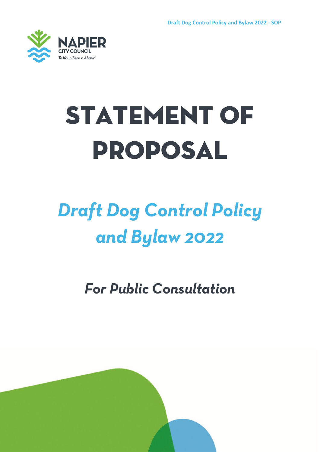

# **STATEMENT OF** Proposal

# *Draft Dog Control Policy and Bylaw 2022*

*For Public Consultation*

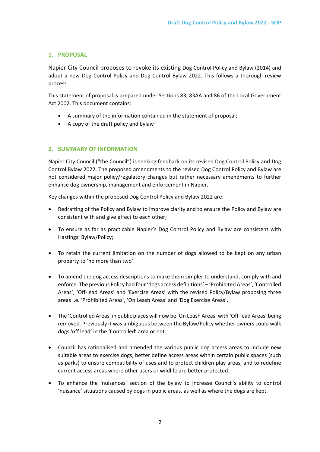# **1. PROPOSAL**

Napier City Council proposes to revoke its existing Dog Control Policy and Bylaw (2014) and adopt a new Dog Control Policy and Dog Control Bylaw 2022. This follows a thorough review process.

This statement of proposal is prepared under Sections 83, 83AA and 86 of the Local Government Act 2002. This document contains:

- A summary of the information contained in the statement of proposal;
- A copy of the draft policy and bylaw

# **2. SUMMARY OF INFORMATION**

Napier City Council ("the Council") is seeking feedback on its revised Dog Control Policy and Dog Control Bylaw 2022. The proposed amendments to the revised Dog Control Policy and Bylaw are not considered major policy/regulatory changes but rather necessary amendments to further enhance dog ownership, management and enforcement in Napier.

Key changes within the proposed Dog Control Policy and Bylaw 2022 are:

- Redrafting of the Policy and Bylaw to improve clarity and to ensure the Policy and Bylaw are consistent with and give effect to each other;
- To ensure as far as practicable Napier's Dog Control Policy and Bylaw are consistent with Hastings' Bylaw/Policy;
- To retain the current limitation on the number of dogs allowed to be kept on any urban property to 'no more than two'.
- To amend the dog access descriptions to make them simpler to understand, comply with and enforce. The previous Policy had four 'dogs access definitions' – 'Prohibited Areas', 'Controlled Areas', 'Off-lead Areas' and 'Exercise Areas' with the revised Policy/Bylaw proposing three areas i.e. 'Prohibited Areas', 'On Leash Areas' and 'Dog Exercise Areas'.
- The 'Controlled Areas' in public places will now be 'On Leash Areas' with 'Off-lead Areas' being removed. Previously it was ambiguous between the Bylaw/Policy whether owners could walk dogs 'off lead' in the 'Controlled' area or not.
- Council has rationalised and amended the various public dog access areas to include new suitable areas to exercise dogs, better define access areas within certain public spaces (such as parks) to ensure compatibility of uses and to protect children play areas, and to redefine current access areas where other users or wildlife are better protected.
- To enhance the 'nuisances' section of the bylaw to increase Council's ability to control 'nuisance' situations caused by dogs in public areas, as well as where the dogs are kept.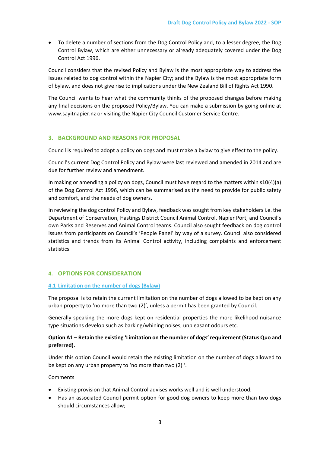• To delete a number of sections from the Dog Control Policy and, to a lesser degree, the Dog Control Bylaw, which are either unnecessary or already adequately covered under the Dog Control Act 1996.

Council considers that the revised Policy and Bylaw is the most appropriate way to address the issues related to dog control within the Napier City; and the Bylaw is the most appropriate form of bylaw, and does not give rise to implications under the New Zealand Bill of Rights Act 1990.

The Council wants to hear what the community thinks of the proposed changes before making any final decisions on the proposed Policy/Bylaw. You can make a submission by going online at www.sayitnapier.nz or visiting the Napier City Council Customer Service Centre.

# **3. BACKGROUND AND REASONS FOR PROPOSAL**

Council is required to adopt a policy on dogs and must make a bylaw to give effect to the policy.

Council's current Dog Control Policy and Bylaw were last reviewed and amended in 2014 and are due for further review and amendment.

In making or amending a policy on dogs, Council must have regard to the matters within s10(4)(a) of the Dog Control Act 1996, which can be summarised as the need to provide for public safety and comfort, and the needs of dog owners.

In reviewing the dog control Policy and Bylaw, feedback was sought from key stakeholders i.e. the Department of Conservation, Hastings District Council Animal Control, Napier Port, and Council's own Parks and Reserves and Animal Control teams. Council also sought feedback on dog control issues from participants on Council's 'People Panel' by way of a survey. Council also considered statistics and trends from its Animal Control activity, including complaints and enforcement statistics.

# **4. OPTIONS FOR CONSIDERATION**

# **4.1 Limitation on the number of dogs (Bylaw)**

The proposal is to retain the current limitation on the number of dogs allowed to be kept on any urban property to 'no more than two (2)', unless a permit has been granted by Council.

Generally speaking the more dogs kept on residential properties the more likelihood nuisance type situations develop such as barking/whining noises, unpleasant odours etc.

# **Option A1 – Retain the existing 'Limitation on the number of dogs' requirement (Status Quo and preferred).**

Under this option Council would retain the existing limitation on the number of dogs allowed to be kept on any urban property to 'no more than two (2) '.

# Comments

- Existing provision that Animal Control advises works well and is well understood;
- Has an associated Council permit option for good dog owners to keep more than two dogs should circumstances allow;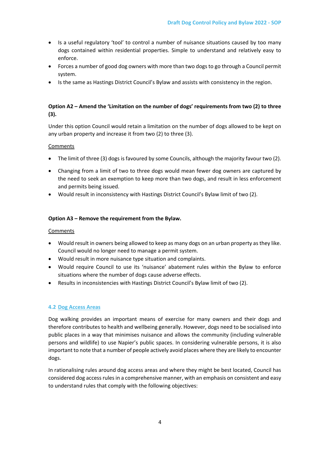- Is a useful regulatory 'tool' to control a number of nuisance situations caused by too many dogs contained within residential properties. Simple to understand and relatively easy to enforce.
- Forces a number of good dog owners with more than two dogs to go through a Council permit system.
- Is the same as Hastings District Council's Bylaw and assists with consistency in the region.

# **Option A2 – Amend the 'Limitation on the number of dogs' requirements from two (2) to three (3).**

Under this option Council would retain a limitation on the number of dogs allowed to be kept on any urban property and increase it from two (2) to three (3).

# Comments

- The limit of three (3) dogs is favoured by some Councils, although the majority favour two (2).
- Changing from a limit of two to three dogs would mean fewer dog owners are captured by the need to seek an exemption to keep more than two dogs, and result in less enforcement and permits being issued.
- Would result in inconsistency with Hastings District Council's Bylaw limit of two (2).

# **Option A3 – Remove the requirement from the Bylaw.**

# **Comments**

- Would result in owners being allowed to keep as many dogs on an urban property as they like. Council would no longer need to manage a permit system.
- Would result in more nuisance type situation and complaints.
- Would require Council to use its 'nuisance' abatement rules within the Bylaw to enforce situations where the number of dogs cause adverse effects.
- Results in inconsistencies with Hastings District Council's Bylaw limit of two (2).

# **4.2 Dog Access Areas**

Dog walking provides an important means of exercise for many owners and their dogs and therefore contributes to health and wellbeing generally. However, dogs need to be socialised into public places in a way that minimises nuisance and allows the community (including vulnerable persons and wildlife) to use Napier's public spaces. In considering vulnerable persons, it is also important to note that a number of people actively avoid places where they are likely to encounter dogs.

In rationalising rules around dog access areas and where they might be best located, Council has considered dog access rules in a comprehensive manner, with an emphasis on consistent and easy to understand rules that comply with the following objectives: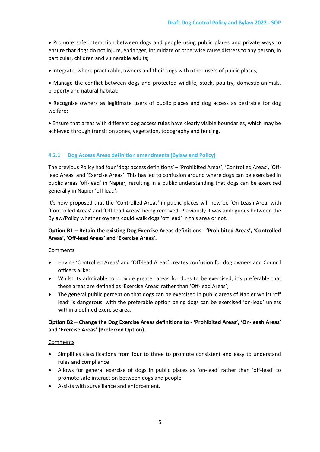• Promote safe interaction between dogs and people using public places and private ways to ensure that dogs do not injure, endanger, intimidate or otherwise cause distress to any person, in particular, children and vulnerable adults;

• Integrate, where practicable, owners and their dogs with other users of public places;

• Manage the conflict between dogs and protected wildlife, stock, poultry, domestic animals, property and natural habitat;

• Recognise owners as legitimate users of public places and dog access as desirable for dog welfare;

• Ensure that areas with different dog access rules have clearly visible boundaries, which may be achieved through transition zones, vegetation, topography and fencing.

# **4.2.1 Dog Access Areas definition amendments (Bylaw and Policy)**

The previous Policy had four 'dogs access definitions' – 'Prohibited Areas', 'Controlled Areas', 'Offlead Areas' and 'Exercise Areas'. This has led to confusion around where dogs can be exercised in public areas 'off-lead' in Napier, resulting in a public understanding that dogs can be exercised generally in Napier 'off lead'.

It's now proposed that the 'Controlled Areas' in public places will now be 'On Leash Area' with 'Controlled Areas' and 'Off-lead Areas' being removed. Previously it was ambiguous between the Bylaw/Policy whether owners could walk dogs 'off lead' in this area or not.

# **Option B1 – Retain the existing Dog Exercise Areas definitions - 'Prohibited Areas', 'Controlled Areas', 'Off-lead Areas' and 'Exercise Areas'.**

Comments

- Having 'Controlled Areas' and 'Off-lead Areas' creates confusion for dog owners and Council officers alike;
- Whilst its admirable to provide greater areas for dogs to be exercised, it's preferable that these areas are defined as 'Exercise Areas' rather than 'Off-lead Areas';
- The general public perception that dogs can be exercised in public areas of Napier whilst 'off lead' is dangerous, with the preferable option being dogs can be exercised 'on-lead' unless within a defined exercise area.

# **Option B2 – Change the Dog Exercise Areas definitions to - 'Prohibited Areas', 'On-leash Areas' and 'Exercise Areas' (Preferred Option).**

#### Comments

- Simplifies classifications from four to three to promote consistent and easy to understand rules and compliance
- Allows for general exercise of dogs in public places as 'on-lead' rather than 'off-lead' to promote safe interaction between dogs and people.
- Assists with surveillance and enforcement.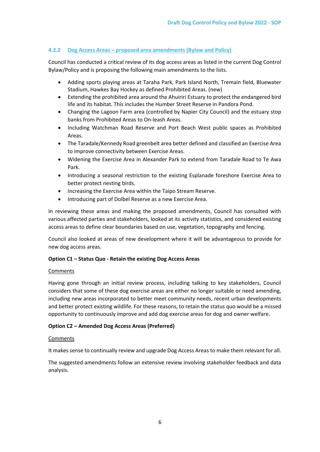# **4.2.2 Dog Access Areas – proposed area amendments (Bylaw and Policy)**

Council has conducted a critical review of its dog access areas as listed in the current Dog Control Bylaw/Policy and is proposing the following main amendments to the lists.

- Adding sports playing areas at Taraha Park, Park Island North, Tremain field, Bluewater Stadium, Hawkes Bay Hockey as defined Prohibited Areas. (new)
- Extending the prohibited area around the Ahuiriri Estuary to protect the endangered bird life and its habitat. This includes the Humber Street Reserve in Pandora Pond.
- Changing the Lagoon Farm area (controlled by Napier City Council) and the estuary stop banks from Prohibited Areas to On-leash Areas.
- Including Watchman Road Reserve and Port Beach West public spaces as Prohibited Areas.
- The Taradale/Kennedy Road greenbelt area better defined and classified an Exercise Area to improve connectivity between Exercise Areas.
- Widening the Exercise Area in Alexander Park to extend from Taradale Road to Te Awa Park.
- Introducing a seasonal restriction to the existing Esplanade foreshore Exercise Area to better protect nesting birds.
- Increasing the Exercise Area within the Taipo Stream Reserve.
- Introducing part of Dolbel Reserve as a new Exercise Area.

In reviewing these areas and making the proposed amendments, Council has consulted with various affected parties and stakeholders, looked at its activity statistics, and considered existing access areas to define clear boundaries based on use, vegetation, topography and fencing.

Council also looked at areas of new development where it will be advantageous to provide for new dog access areas.

# **Option C1 – Status Quo - Retain the existing Dog Access Areas**

# Comments

Having gone through an initial review process, including talking to key stakeholders, Council considers that some of these dog exercise areas are either no longer suitable or need amending, including new areas incorporated to better meet community needs, recent urban developments and better protect existing wildlife. For these reasons, to retain the status quo would be a missed opportunity to continuously improve and add dog exercise areas for dog and owner welfare.

# **Option C2 – Amended Dog Access Areas (Preferred)**

# Comments

It makes sense to continually review and upgrade Dog Access Areas to make them relevant for all.

The suggested amendments follow an extensive review involving stakeholder feedback and data analysis.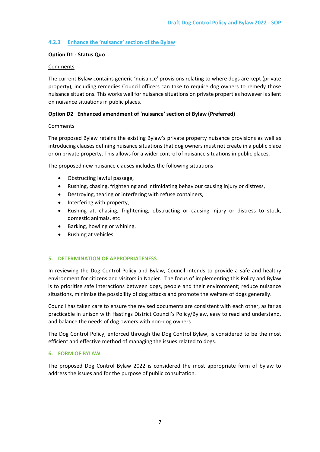# **4.2.3 Enhance the 'nuisance' section of the Bylaw**

# **Option D1 - Status Quo**

#### **Comments**

The current Bylaw contains generic 'nuisance' provisions relating to where dogs are kept (private property), including remedies Council officers can take to require dog owners to remedy those nuisance situations. This works well for nuisance situations on private properties however is silent on nuisance situations in public places.

# **Option D2 Enhanced amendment of 'nuisance' section of Bylaw (Preferred)**

#### Comments

The proposed Bylaw retains the existing Bylaw's private property nuisance provisions as well as introducing clauses defining nuisance situations that dog owners must not create in a public place or on private property. This allows for a wider control of nuisance situations in public places.

The proposed new nuisance clauses includes the following situations –

- Obstructing lawful passage,
- Rushing, chasing, frightening and intimidating behaviour causing injury or distress,
- Destroying, tearing or interfering with refuse containers,
- Interfering with property,
- Rushing at, chasing, frightening, obstructing or causing injury or distress to stock, domestic animals, etc
- Barking, howling or whining,
- Rushing at vehicles.

# **5. DETERMINATION OF APPROPRIATENESS**

In reviewing the Dog Control Policy and Bylaw, Council intends to provide a safe and healthy environment for citizens and visitors in Napier. The focus of implementing this Policy and Bylaw is to prioritise safe interactions between dogs, people and their environment; reduce nuisance situations, minimise the possibility of dog attacks and promote the welfare of dogs generally.

Council has taken care to ensure the revised documents are consistent with each other, as far as practicable in unison with Hastings District Council's Policy/Bylaw, easy to read and understand, and balance the needs of dog owners with non-dog owners.

The Dog Control Policy, enforced through the Dog Control Bylaw, is considered to be the most efficient and effective method of managing the issues related to dogs.

# **6. FORM OF BYLAW**

The proposed Dog Control Bylaw 2022 is considered the most appropriate form of bylaw to address the issues and for the purpose of public consultation.